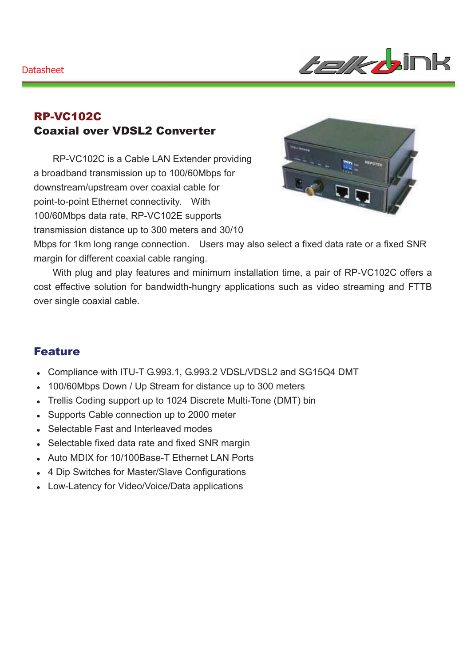*telkb*ink

### RP-VC102C Coaxial over VDSL2 Converter

RP-VC102C is a Cable LAN Extender providing a broadband transmission up to 100/60Mbps for downstream/upstream over coaxial cable for point-to-point Ethernet connectivity. With 100/60Mbps data rate, RP-VC102E supports transmission distance up to 300 meters and 30/10



Mbps for 1km long range connection. Users may also select a fixed data rate or a fixed SNR margin for different coaxial cable ranging.

With plug and play features and minimum installation time, a pair of RP-VC102C offers a cost effective solution for bandwidth-hungry applications such as video streaming and FTTB over single coaxial cable.

#### Feature

- Compliance with ITU-T G.993.1, G.993.2 VDSL/VDSL2 and SG15Q4 DMT
- 100/60Mbps Down / Up Stream for distance up to 300 meters
- Trellis Coding support up to 1024 Discrete Multi-Tone (DMT) bin
- Supports Cable connection up to 2000 meter
- Selectable Fast and Interleaved modes
- Selectable fixed data rate and fixed SNR margin
- Auto MDIX for 10/100Base-T Ethernet LAN Ports
- 4 Dip Switches for Master/Slave Configurations
- Low-Latency for Video/Voice/Data applications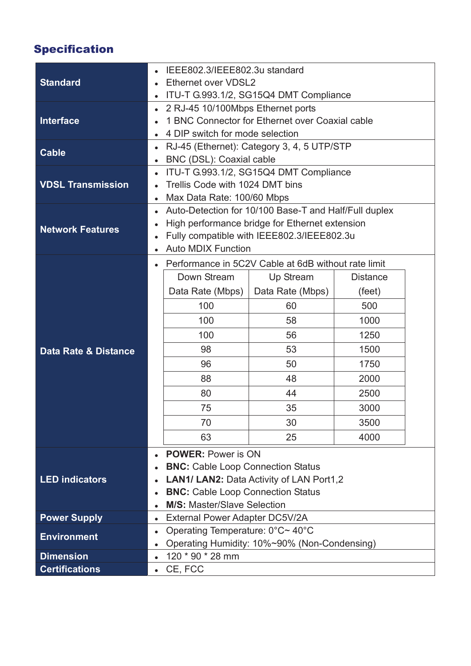# Specification

|                                                            | IEEE802.3/IEEE802.3u standard                                                                     |                                                     |                  |                 |  |  |
|------------------------------------------------------------|---------------------------------------------------------------------------------------------------|-----------------------------------------------------|------------------|-----------------|--|--|
| <b>Standard</b>                                            | Ethernet over VDSL2                                                                               |                                                     |                  |                 |  |  |
|                                                            | ITU-T G.993.1/2, SG15Q4 DMT Compliance<br>$\bullet$                                               |                                                     |                  |                 |  |  |
| <b>Interface</b>                                           | 2 RJ-45 10/100Mbps Ethernet ports<br>$\bullet$                                                    |                                                     |                  |                 |  |  |
|                                                            | 1 BNC Connector for Ethernet over Coaxial cable                                                   |                                                     |                  |                 |  |  |
|                                                            |                                                                                                   | 4 DIP switch for mode selection                     |                  |                 |  |  |
| <b>Cable</b>                                               | RJ-45 (Ethernet): Category 3, 4, 5 UTP/STP<br>$\bullet$                                           |                                                     |                  |                 |  |  |
|                                                            | $\bullet$                                                                                         | BNC (DSL): Coaxial cable                            |                  |                 |  |  |
| <b>VDSL Transmission</b>                                   | ITU-T G.993.1/2, SG15Q4 DMT Compliance<br>$\bullet$                                               |                                                     |                  |                 |  |  |
|                                                            |                                                                                                   | Trellis Code with 1024 DMT bins                     |                  |                 |  |  |
|                                                            | Max Data Rate: 100/60 Mbps<br>$\bullet$                                                           |                                                     |                  |                 |  |  |
| <b>Network Features</b><br><b>Data Rate &amp; Distance</b> | Auto-Detection for 10/100 Base-T and Half/Full duplex<br>$\bullet$                                |                                                     |                  |                 |  |  |
|                                                            | $\bullet$                                                                                         | High performance bridge for Ethernet extension      |                  |                 |  |  |
|                                                            | Fully compatible with IEEE802.3/IEEE802.3u<br>$\bullet$                                           |                                                     |                  |                 |  |  |
|                                                            |                                                                                                   | <b>Auto MDIX Function</b>                           |                  |                 |  |  |
|                                                            | $\bullet$                                                                                         | Performance in 5C2V Cable at 6dB without rate limit |                  |                 |  |  |
|                                                            |                                                                                                   | Down Stream                                         | Up Stream        | <b>Distance</b> |  |  |
|                                                            |                                                                                                   | Data Rate (Mbps)                                    | Data Rate (Mbps) | (feet)          |  |  |
|                                                            |                                                                                                   | 100                                                 | 60               | 500             |  |  |
|                                                            |                                                                                                   | 100                                                 | 58               | 1000            |  |  |
|                                                            |                                                                                                   | 100                                                 | 56               | 1250            |  |  |
|                                                            |                                                                                                   | 98                                                  | 53               | 1500            |  |  |
|                                                            |                                                                                                   | 96                                                  | 50               | 1750            |  |  |
|                                                            |                                                                                                   | 88                                                  | 48               | 2000            |  |  |
|                                                            |                                                                                                   | 80                                                  | 44               | 2500            |  |  |
|                                                            |                                                                                                   | 75                                                  | 35               | 3000            |  |  |
|                                                            |                                                                                                   | 70                                                  | 30               | 3500            |  |  |
|                                                            |                                                                                                   | 63                                                  | 25               | 4000            |  |  |
|                                                            |                                                                                                   |                                                     |                  |                 |  |  |
| <b>LED indicators</b>                                      | <b>POWER: Power is ON</b><br>$\bullet$                                                            |                                                     |                  |                 |  |  |
|                                                            | <b>BNC:</b> Cable Loop Connection Status<br>$\bullet$                                             |                                                     |                  |                 |  |  |
|                                                            | LAN1/ LAN2: Data Activity of LAN Port1,2<br>$\bullet$<br><b>BNC:</b> Cable Loop Connection Status |                                                     |                  |                 |  |  |
|                                                            | $\bullet$<br><b>M/S: Master/Slave Selection</b>                                                   |                                                     |                  |                 |  |  |
| <b>Power Supply</b>                                        | $\bullet$<br>External Power Adapter DC5V/2A<br>$\bullet$                                          |                                                     |                  |                 |  |  |
|                                                            | $\bullet$                                                                                         | Operating Temperature: 0°C~40°C                     |                  |                 |  |  |
| <b>Environment</b>                                         | Operating Humidity: 10%~90% (Non-Condensing)<br>$\bullet$                                         |                                                     |                  |                 |  |  |
| <b>Dimension</b>                                           | 120 * 90 * 28 mm<br>$\bullet$                                                                     |                                                     |                  |                 |  |  |
| <b>Certifications</b>                                      | CE, FCC<br>$\bullet$                                                                              |                                                     |                  |                 |  |  |